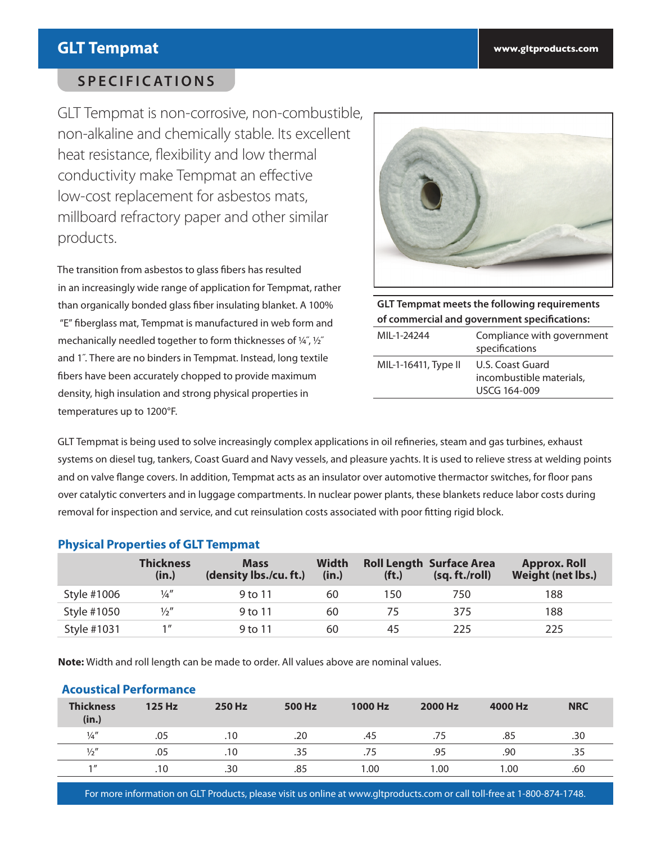# **GLT Tempmat www.gltproducts.com**

## **SPECIFICATIONS**

GLT Tempmat is non-corrosive, non-combustible, non-alkaline and chemically stable. Its excellent heat resistance, flexibility and low thermal conductivity make Tempmat an effective low-cost replacement for asbestos mats, millboard refractory paper and other similar products.

The transition from asbestos to glass fibers has resulted in an increasingly wide range of application for Tempmat, rather than organically bonded glass fiber insulating blanket. A 100% "E" fiberglass mat, Tempmat is manufactured in web form and mechanically needled together to form thicknesses of ¼˝, ½˝ and 1˝. There are no binders in Tempmat. Instead, long textile fibers have been accurately chopped to provide maximum density, high insulation and strong physical properties in temperatures up to 1200°F.



**GLT Tempmat meets the following requirements of commercial and government specifications:**

| MII-1-24244          | Compliance with government<br>specifications                 |
|----------------------|--------------------------------------------------------------|
| MIL-1-16411, Type II | U.S. Coast Guard<br>incombustible materials,<br>USCG 164-009 |

GLT Tempmat is being used to solve increasingly complex applications in oil refineries, steam and gas turbines, exhaust systems on diesel tug, tankers, Coast Guard and Navy vessels, and pleasure yachts. It is used to relieve stress at welding points and on valve flange covers. In addition, Tempmat acts as an insulator over automotive thermactor switches, for floor pans over catalytic converters and in luggage compartments. In nuclear power plants, these blankets reduce labor costs during removal for inspection and service, and cut reinsulation costs associated with poor fitting rigid block.

## **Physical Properties of GLT Tempmat**

|             | <b>Thickness</b><br>(in.) | <b>Mass</b><br>(density lbs./cu.ft.) | <b>Width</b><br>(in.) | (f <sub>t</sub> ) | <b>Roll Length Surface Area</b><br>(sq. ft./roll) | <b>Approx. Roll</b><br><b>Weight (net lbs.)</b> |
|-------------|---------------------------|--------------------------------------|-----------------------|-------------------|---------------------------------------------------|-------------------------------------------------|
| Style #1006 | $\frac{1}{4}$             | 9 to 11                              | 60                    | 150               | 750                                               | 188                                             |
| Style #1050 | $\frac{1}{2}$ "           | 9 to 11                              | 60                    |                   | 375                                               | 188                                             |
| Style #1031 | $1$ $\prime\prime$        | 9 to 11                              | 60                    | 45                | 225                                               | 225                                             |

**Note:** Width and roll length can be made to order. All values above are nominal values.

## **Acoustical Performance**

| <b>Thickness</b><br>(in.) | 125 Hz | 250 Hz | 500 Hz | 1000 Hz | 2000 Hz | 4000 Hz | <b>NRC</b> |
|---------------------------|--------|--------|--------|---------|---------|---------|------------|
| $\frac{1}{4}$             | .05    | .10    | .20    | .45     | .75     | .85     | .30        |
| $\frac{1}{2}$             | .05    | .10    | .35    | .75     | .95     | .90     | .35        |
| 1                         | .10    | .30    | .85    | 1.00    | 0.00    | 1.00    | .60        |

For more information on GLT Products, please visit us online at www.gltproducts.com or call toll-free at 1-800-874-1748.